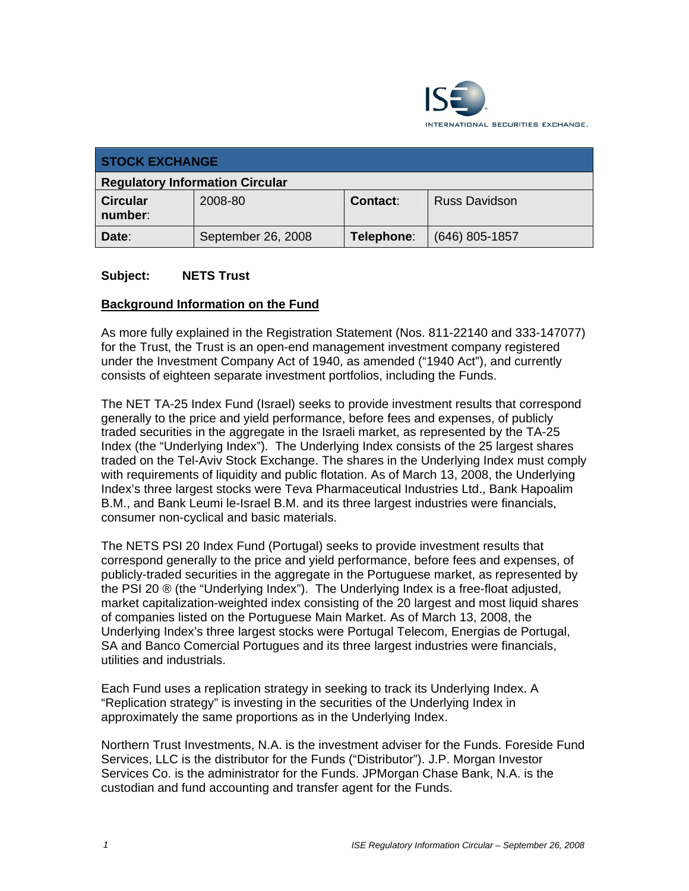

| <b>STOCK EXCHANGE</b>                  |                    |            |                      |  |
|----------------------------------------|--------------------|------------|----------------------|--|
| <b>Regulatory Information Circular</b> |                    |            |                      |  |
| <b>Circular</b><br>number:             | 2008-80            | Contact:   | <b>Russ Davidson</b> |  |
| Date:                                  | September 26, 2008 | Telephone: | $(646)$ 805-1857     |  |

#### **Subject: NETS Trust**

#### **Background Information on the Fund**

As more fully explained in the Registration Statement (Nos. 811-22140 and 333-147077) for the Trust, the Trust is an open-end management investment company registered under the Investment Company Act of 1940, as amended ("1940 Act"), and currently consists of eighteen separate investment portfolios, including the Funds.

The NET TA-25 Index Fund (Israel) seeks to provide investment results that correspond generally to the price and yield performance, before fees and expenses, of publicly traded securities in the aggregate in the Israeli market, as represented by the TA-25 Index (the "Underlying Index"). The Underlying Index consists of the 25 largest shares traded on the Tel-Aviv Stock Exchange. The shares in the Underlying Index must comply with requirements of liquidity and public flotation. As of March 13, 2008, the Underlying Index's three largest stocks were Teva Pharmaceutical Industries Ltd., Bank Hapoalim B.M., and Bank Leumi le-Israel B.M. and its three largest industries were financials, consumer non-cyclical and basic materials.

The NETS PSI 20 Index Fund (Portugal) seeks to provide investment results that correspond generally to the price and yield performance, before fees and expenses, of publicly-traded securities in the aggregate in the Portuguese market, as represented by the PSI 20 ® (the "Underlying Index"). The Underlying Index is a free-float adjusted, market capitalization-weighted index consisting of the 20 largest and most liquid shares of companies listed on the Portuguese Main Market. As of March 13, 2008, the Underlying Index's three largest stocks were Portugal Telecom, Energias de Portugal, SA and Banco Comercial Portugues and its three largest industries were financials, utilities and industrials.

Each Fund uses a replication strategy in seeking to track its Underlying Index. A "Replication strategy" is investing in the securities of the Underlying Index in approximately the same proportions as in the Underlying Index.

Northern Trust Investments, N.A. is the investment adviser for the Funds. Foreside Fund Services, LLC is the distributor for the Funds ("Distributor"). J.P. Morgan Investor Services Co. is the administrator for the Funds. JPMorgan Chase Bank, N.A. is the custodian and fund accounting and transfer agent for the Funds.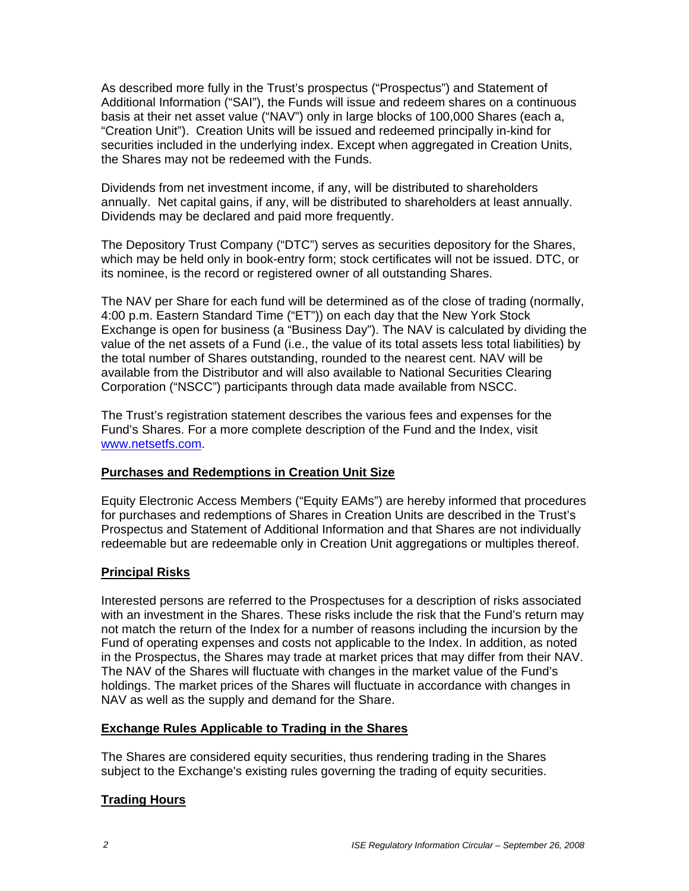As described more fully in the Trust's prospectus ("Prospectus") and Statement of Additional Information ("SAI"), the Funds will issue and redeem shares on a continuous basis at their net asset value ("NAV") only in large blocks of 100,000 Shares (each a, "Creation Unit"). Creation Units will be issued and redeemed principally in-kind for securities included in the underlying index. Except when aggregated in Creation Units, the Shares may not be redeemed with the Funds.

Dividends from net investment income, if any, will be distributed to shareholders annually. Net capital gains, if any, will be distributed to shareholders at least annually. Dividends may be declared and paid more frequently.

The Depository Trust Company ("DTC") serves as securities depository for the Shares, which may be held only in book-entry form; stock certificates will not be issued. DTC, or its nominee, is the record or registered owner of all outstanding Shares.

The NAV per Share for each fund will be determined as of the close of trading (normally, 4:00 p.m. Eastern Standard Time ("ET")) on each day that the New York Stock Exchange is open for business (a "Business Day"). The NAV is calculated by dividing the value of the net assets of a Fund (i.e., the value of its total assets less total liabilities) by the total number of Shares outstanding, rounded to the nearest cent. NAV will be available from the Distributor and will also available to National Securities Clearing Corporation ("NSCC") participants through data made available from NSCC.

The Trust's registration statement describes the various fees and expenses for the Fund's Shares. For a more complete description of the Fund and the Index, visit www.netsetfs.com.

### **Purchases and Redemptions in Creation Unit Size**

Equity Electronic Access Members ("Equity EAMs") are hereby informed that procedures for purchases and redemptions of Shares in Creation Units are described in the Trust's Prospectus and Statement of Additional Information and that Shares are not individually redeemable but are redeemable only in Creation Unit aggregations or multiples thereof.

### **Principal Risks**

Interested persons are referred to the Prospectuses for a description of risks associated with an investment in the Shares. These risks include the risk that the Fund's return may not match the return of the Index for a number of reasons including the incursion by the Fund of operating expenses and costs not applicable to the Index. In addition, as noted in the Prospectus, the Shares may trade at market prices that may differ from their NAV. The NAV of the Shares will fluctuate with changes in the market value of the Fund's holdings. The market prices of the Shares will fluctuate in accordance with changes in NAV as well as the supply and demand for the Share.

### **Exchange Rules Applicable to Trading in the Shares**

The Shares are considered equity securities, thus rendering trading in the Shares subject to the Exchange's existing rules governing the trading of equity securities.

### **Trading Hours**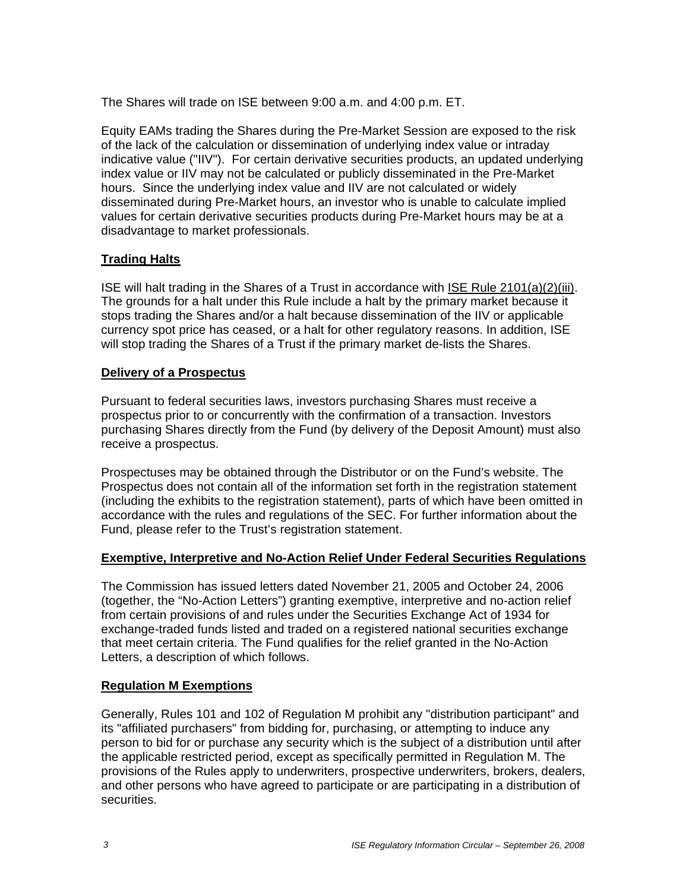The Shares will trade on ISE between 9:00 a.m. and 4:00 p.m. ET.

Equity EAMs trading the Shares during the Pre-Market Session are exposed to the risk of the lack of the calculation or dissemination of underlying index value or intraday indicative value ("IIV"). For certain derivative securities products, an updated underlying index value or IIV may not be calculated or publicly disseminated in the Pre-Market hours. Since the underlying index value and IIV are not calculated or widely disseminated during Pre-Market hours, an investor who is unable to calculate implied values for certain derivative securities products during Pre-Market hours may be at a disadvantage to market professionals.

## **Trading Halts**

ISE will halt trading in the Shares of a Trust in accordance with ISE Rule 2101(a)(2)(iii). The grounds for a halt under this Rule include a halt by the primary market because it stops trading the Shares and/or a halt because dissemination of the IIV or applicable currency spot price has ceased, or a halt for other regulatory reasons. In addition, ISE will stop trading the Shares of a Trust if the primary market de-lists the Shares.

### **Delivery of a Prospectus**

Pursuant to federal securities laws, investors purchasing Shares must receive a prospectus prior to or concurrently with the confirmation of a transaction. Investors purchasing Shares directly from the Fund (by delivery of the Deposit Amount) must also receive a prospectus.

Prospectuses may be obtained through the Distributor or on the Fund's website. The Prospectus does not contain all of the information set forth in the registration statement (including the exhibits to the registration statement), parts of which have been omitted in accordance with the rules and regulations of the SEC. For further information about the Fund, please refer to the Trust's registration statement.

### **Exemptive, Interpretive and No-Action Relief Under Federal Securities Regulations**

The Commission has issued letters dated November 21, 2005 and October 24, 2006 (together, the "No-Action Letters") granting exemptive, interpretive and no-action relief from certain provisions of and rules under the Securities Exchange Act of 1934 for exchange-traded funds listed and traded on a registered national securities exchange that meet certain criteria. The Fund qualifies for the relief granted in the No-Action Letters, a description of which follows.

### **Regulation M Exemptions**

Generally, Rules 101 and 102 of Regulation M prohibit any "distribution participant" and its "affiliated purchasers" from bidding for, purchasing, or attempting to induce any person to bid for or purchase any security which is the subject of a distribution until after the applicable restricted period, except as specifically permitted in Regulation M. The provisions of the Rules apply to underwriters, prospective underwriters, brokers, dealers, and other persons who have agreed to participate or are participating in a distribution of securities.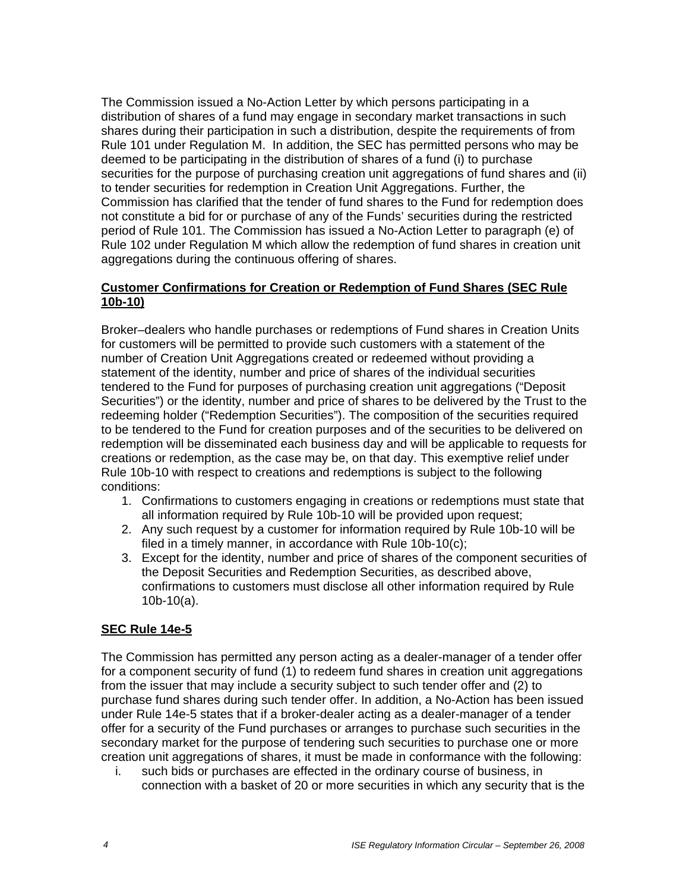The Commission issued a No-Action Letter by which persons participating in a distribution of shares of a fund may engage in secondary market transactions in such shares during their participation in such a distribution, despite the requirements of from Rule 101 under Regulation M. In addition, the SEC has permitted persons who may be deemed to be participating in the distribution of shares of a fund (i) to purchase securities for the purpose of purchasing creation unit aggregations of fund shares and (ii) to tender securities for redemption in Creation Unit Aggregations. Further, the Commission has clarified that the tender of fund shares to the Fund for redemption does not constitute a bid for or purchase of any of the Funds' securities during the restricted period of Rule 101. The Commission has issued a No-Action Letter to paragraph (e) of Rule 102 under Regulation M which allow the redemption of fund shares in creation unit aggregations during the continuous offering of shares.

## **Customer Confirmations for Creation or Redemption of Fund Shares (SEC Rule 10b-10)**

Broker–dealers who handle purchases or redemptions of Fund shares in Creation Units for customers will be permitted to provide such customers with a statement of the number of Creation Unit Aggregations created or redeemed without providing a statement of the identity, number and price of shares of the individual securities tendered to the Fund for purposes of purchasing creation unit aggregations ("Deposit Securities") or the identity, number and price of shares to be delivered by the Trust to the redeeming holder ("Redemption Securities"). The composition of the securities required to be tendered to the Fund for creation purposes and of the securities to be delivered on redemption will be disseminated each business day and will be applicable to requests for creations or redemption, as the case may be, on that day. This exemptive relief under Rule 10b-10 with respect to creations and redemptions is subject to the following conditions:

- 1. Confirmations to customers engaging in creations or redemptions must state that all information required by Rule 10b-10 will be provided upon request;
- 2. Any such request by a customer for information required by Rule 10b-10 will be filed in a timely manner, in accordance with Rule 10b-10(c);
- 3. Except for the identity, number and price of shares of the component securities of the Deposit Securities and Redemption Securities, as described above, confirmations to customers must disclose all other information required by Rule 10b-10(a).

### **SEC Rule 14e-5**

The Commission has permitted any person acting as a dealer-manager of a tender offer for a component security of fund (1) to redeem fund shares in creation unit aggregations from the issuer that may include a security subject to such tender offer and (2) to purchase fund shares during such tender offer. In addition, a No-Action has been issued under Rule 14e-5 states that if a broker-dealer acting as a dealer-manager of a tender offer for a security of the Fund purchases or arranges to purchase such securities in the secondary market for the purpose of tendering such securities to purchase one or more creation unit aggregations of shares, it must be made in conformance with the following:

i. such bids or purchases are effected in the ordinary course of business, in connection with a basket of 20 or more securities in which any security that is the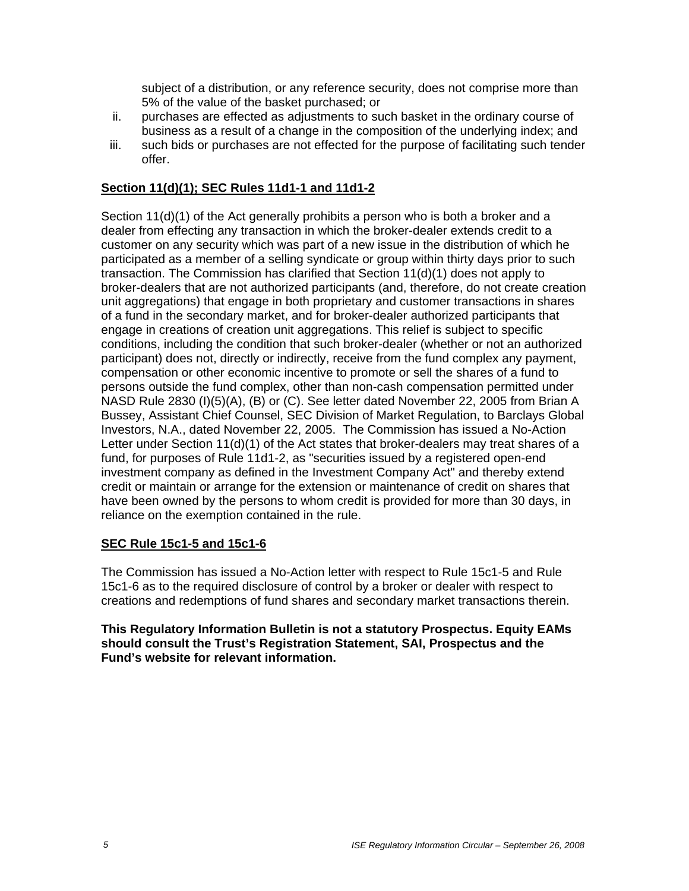subject of a distribution, or any reference security, does not comprise more than 5% of the value of the basket purchased; or

- ii. purchases are effected as adjustments to such basket in the ordinary course of business as a result of a change in the composition of the underlying index; and
- iii. such bids or purchases are not effected for the purpose of facilitating such tender offer.

### **Section 11(d)(1); SEC Rules 11d1-1 and 11d1-2**

Section 11(d)(1) of the Act generally prohibits a person who is both a broker and a dealer from effecting any transaction in which the broker-dealer extends credit to a customer on any security which was part of a new issue in the distribution of which he participated as a member of a selling syndicate or group within thirty days prior to such transaction. The Commission has clarified that Section 11(d)(1) does not apply to broker-dealers that are not authorized participants (and, therefore, do not create creation unit aggregations) that engage in both proprietary and customer transactions in shares of a fund in the secondary market, and for broker-dealer authorized participants that engage in creations of creation unit aggregations. This relief is subject to specific conditions, including the condition that such broker-dealer (whether or not an authorized participant) does not, directly or indirectly, receive from the fund complex any payment, compensation or other economic incentive to promote or sell the shares of a fund to persons outside the fund complex, other than non-cash compensation permitted under NASD Rule 2830 (I)(5)(A), (B) or (C). See letter dated November 22, 2005 from Brian A Bussey, Assistant Chief Counsel, SEC Division of Market Regulation, to Barclays Global Investors, N.A., dated November 22, 2005. The Commission has issued a No-Action Letter under Section 11(d)(1) of the Act states that broker-dealers may treat shares of a fund, for purposes of Rule 11d1-2, as "securities issued by a registered open-end investment company as defined in the Investment Company Act" and thereby extend credit or maintain or arrange for the extension or maintenance of credit on shares that have been owned by the persons to whom credit is provided for more than 30 days, in reliance on the exemption contained in the rule.

### **SEC Rule 15c1-5 and 15c1-6**

The Commission has issued a No-Action letter with respect to Rule 15c1-5 and Rule 15c1-6 as to the required disclosure of control by a broker or dealer with respect to creations and redemptions of fund shares and secondary market transactions therein.

#### **This Regulatory Information Bulletin is not a statutory Prospectus. Equity EAMs should consult the Trust's Registration Statement, SAI, Prospectus and the Fund's website for relevant information.**